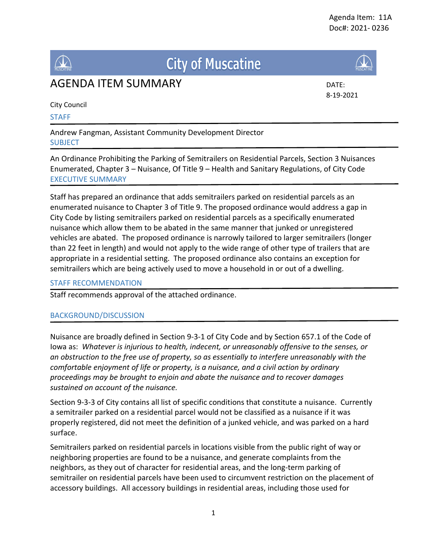

# **City of Muscatine**





8-19-2021

City Council

## **STAFF**

Andrew Fangman, Assistant Community Development Director SUBJECT

An Ordinance Prohibiting the Parking of Semitrailers on Residential Parcels, Section 3 Nuisances Enumerated, Chapter 3 – Nuisance, Of Title 9 – Health and Sanitary Regulations, of City Code EXECUTIVE SUMMARY

Staff has prepared an ordinance that adds semitrailers parked on residential parcels as an enumerated nuisance to Chapter 3 of Title 9. The proposed ordinance would address a gap in City Code by listing semitrailers parked on residential parcels as a specifically enumerated nuisance which allow them to be abated in the same manner that junked or unregistered vehicles are abated. The proposed ordinance is narrowly tailored to larger semitrailers (longer than 22 feet in length) and would not apply to the wide range of other type of trailers that are appropriate in a residential setting. The proposed ordinance also contains an exception for semitrailers which are being actively used to move a household in or out of a dwelling.

# STAFF RECOMMENDATION

Staff recommends approval of the attached ordinance.

# BACKGROUND/DISCUSSION

Nuisance are broadly defined in Section 9-3-1 of City Code and by Section 657.1 of the Code of Iowa as: *Whatever is injurious to health, indecent, or unreasonably offensive to the senses, or an obstruction to the free use of property, so as essentially to interfere unreasonably with the comfortable enjoyment of life or property, is a nuisance, and a civil action by ordinary proceedings may be brought to enjoin and abate the nuisance and to recover damages sustained on account of the nuisance.*

Section 9-3-3 of City contains all list of specific conditions that constitute a nuisance. Currently a semitrailer parked on a residential parcel would not be classified as a nuisance if it was properly registered, did not meet the definition of a junked vehicle, and was parked on a hard surface.

Semitrailers parked on residential parcels in locations visible from the public right of way or neighboring properties are found to be a nuisance, and generate complaints from the neighbors, as they out of character for residential areas, and the long-term parking of semitrailer on residential parcels have been used to circumvent restriction on the placement of accessory buildings. All accessory buildings in residential areas, including those used for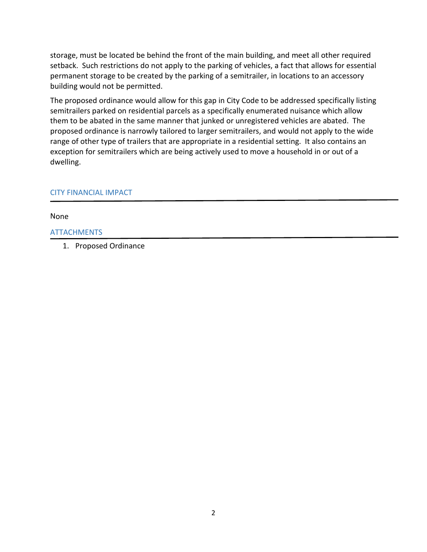storage, must be located be behind the front of the main building, and meet all other required setback. Such restrictions do not apply to the parking of vehicles, a fact that allows for essential permanent storage to be created by the parking of a semitrailer, in locations to an accessory building would not be permitted.

The proposed ordinance would allow for this gap in City Code to be addressed specifically listing semitrailers parked on residential parcels as a specifically enumerated nuisance which allow them to be abated in the same manner that junked or unregistered vehicles are abated. The proposed ordinance is narrowly tailored to larger semitrailers, and would not apply to the wide range of other type of trailers that are appropriate in a residential setting. It also contains an exception for semitrailers which are being actively used to move a household in or out of a dwelling.

### CITY FINANCIAL IMPACT

None

#### **ATTACHMENTS**

1. Proposed Ordinance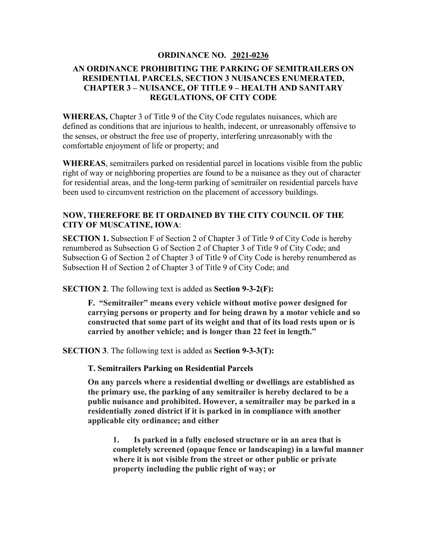#### **ORDINANCE NO. 2021-0236**

## **AN ORDINANCE PROHIBITING THE PARKING OF SEMITRAILERS ON RESIDENTIAL PARCELS, SECTION 3 NUISANCES ENUMERATED, CHAPTER 3 – NUISANCE, OF TITLE 9 – HEALTH AND SANITARY REGULATIONS, OF CITY CODE**

**WHEREAS,** Chapter 3 of Title 9 of the City Code regulates nuisances, which are defined as conditions that are injurious to health, indecent, or unreasonably offensive to the senses, or obstruct the free use of property, interfering unreasonably with the comfortable enjoyment of life or property; and

**WHEREAS**, semitrailers parked on residential parcel in locations visible from the public right of way or neighboring properties are found to be a nuisance as they out of character for residential areas, and the long-term parking of semitrailer on residential parcels have been used to circumvent restriction on the placement of accessory buildings.

# **NOW, THEREFORE BE IT ORDAINED BY THE CITY COUNCIL OF THE CITY OF MUSCATINE, IOWA**:

**SECTION 1.** Subsection F of Section 2 of Chapter 3 of Title 9 of City Code is hereby renumbered as Subsection G of Section 2 of Chapter 3 of Title 9 of City Code; and Subsection G of Section 2 of Chapter 3 of Title 9 of City Code is hereby renumbered as Subsection H of Section 2 of Chapter 3 of Title 9 of City Code; and

**SECTION 2**. The following text is added as **Section 9-3-2(F):** 

**F. "Semitrailer" means every vehicle without motive power designed for carrying persons or property and for being drawn by a motor vehicle and so constructed that some part of its weight and that of its load rests upon or is carried by another vehicle; and is longer than 22 feet in length."**

**SECTION 3**. The following text is added as **Section 9-3-3(T):**

**T. Semitrailers Parking on Residential Parcels**

**On any parcels where a residential dwelling or dwellings are established as the primary use, the parking of any semitrailer is hereby declared to be a public nuisance and prohibited. However, a semitrailer may be parked in a residentially zoned district if it is parked in in compliance with another applicable city ordinance; and either**

**1. Is parked in a fully enclosed structure or in an area that is completely screened (opaque fence or landscaping) in a lawful manner where it is not visible from the street or other public or private property including the public right of way; or**